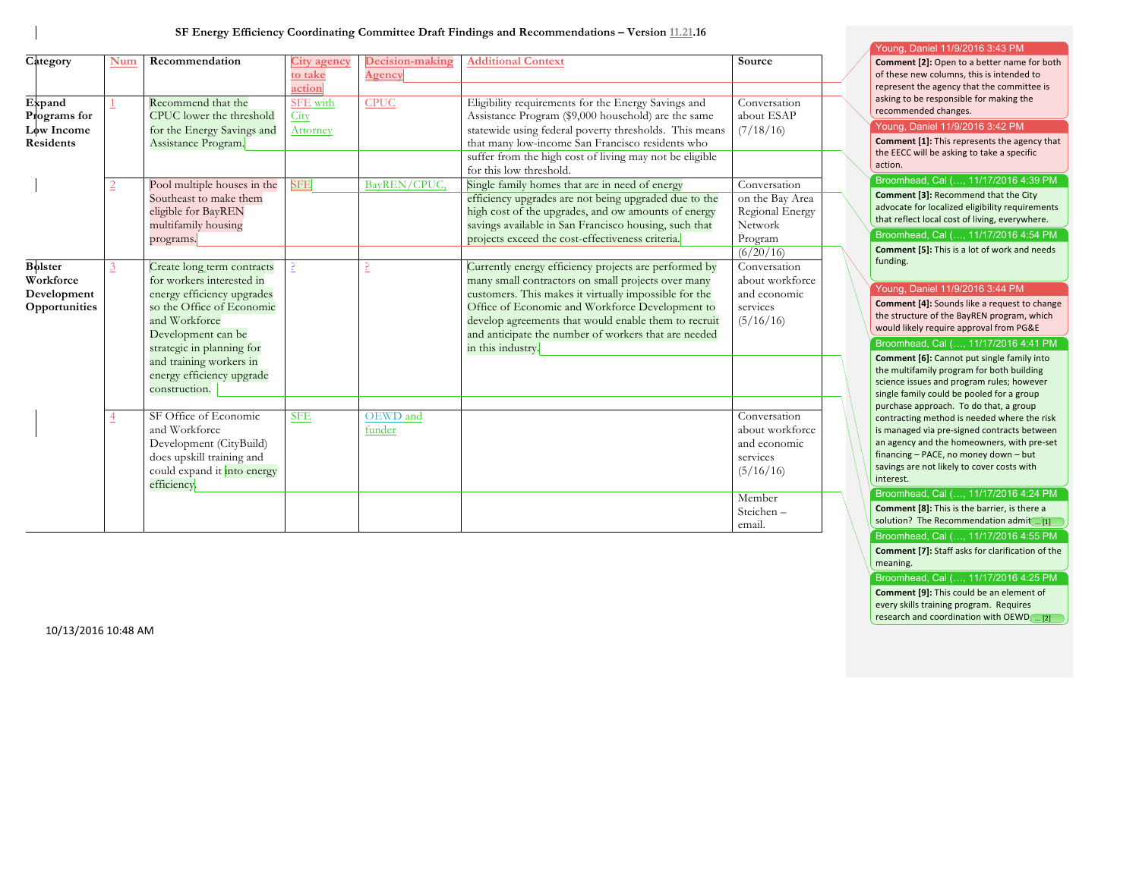**SF Energy Efficiency Coordinating Committee Draft Findings and Recommendations – Version 11.21.16**

| Category                                                    | Num            | Recommendation                                                                                                                                                                                                                                                  | <b>City agency</b><br>to take<br>action | Decision-making<br>Agency | <b>Additional Context</b>                                                                                                                                                                                                                                                                                                                                    | Source                                                                                |
|-------------------------------------------------------------|----------------|-----------------------------------------------------------------------------------------------------------------------------------------------------------------------------------------------------------------------------------------------------------------|-----------------------------------------|---------------------------|--------------------------------------------------------------------------------------------------------------------------------------------------------------------------------------------------------------------------------------------------------------------------------------------------------------------------------------------------------------|---------------------------------------------------------------------------------------|
| Expand<br>Programs for<br>Low Income<br><b>Residents</b>    |                | Recommend that the<br>CPUC lower the threshold<br>for the Energy Savings and<br>Assistance Program.                                                                                                                                                             | SFE with<br>City<br>Attorney            | <b>CPUC</b>               | Eligibility requirements for the Energy Savings and<br>Assistance Program (\$9,000 household) are the same<br>statewide using federal poverty thresholds. This means<br>that many low-income San Francisco residents who<br>suffer from the high cost of living may not be eligible<br>for this low threshold.                                               | Conversation<br>about ESAP<br>(7/18/16)                                               |
|                                                             | $\overline{2}$ | Pool multiple houses in the<br>Southeast to make them<br>eligible for BayREN<br>multifamily housing<br>programs.                                                                                                                                                | <b>SFE</b>                              | BayREN/CPUC,              | Single family homes that are in need of energy<br>efficiency upgrades are not being upgraded due to the<br>high cost of the upgrades, and ow amounts of energy<br>savings available in San Francisco housing, such that<br>projects exceed the cost-effectiveness criteria.                                                                                  | Conversation<br>on the Bay Area<br>Regional Energy<br>Network<br>Program<br>(6/20/16) |
| <b>Bolster</b><br>Workforce<br>Development<br>Opportunities | 3              | Create long term contracts<br>for workers interested in<br>energy efficiency upgrades<br>so the Office of Economic<br>and Workforce<br>Development can be<br>strategic in planning for<br>and training workers in<br>energy efficiency upgrade<br>construction. | 3                                       | P                         | Currently energy efficiency projects are performed by<br>many small contractors on small projects over many<br>customers. This makes it virtually impossible for the<br>Office of Economic and Workforce Development to<br>develop agreements that would enable them to recruit<br>and anticipate the number of workers that are needed<br>in this industry. | Conversation<br>about workforce<br>and economic<br>services<br>(5/16/16)              |
|                                                             | $\overline{4}$ | SF Office of Economic<br>and Workforce<br>Development (CityBuild)<br>does upskill training and<br>could expand it into energy<br>efficiency.                                                                                                                    | <b>SFE</b>                              | OEWD and<br>funder        |                                                                                                                                                                                                                                                                                                                                                              | Conversation<br>about workforce<br>and economic<br>services<br>(5/16/16)              |
|                                                             |                |                                                                                                                                                                                                                                                                 |                                         |                           |                                                                                                                                                                                                                                                                                                                                                              | Member<br>Steichen-<br>email.                                                         |

#### Young, Daniel 11/9/2016 3:43 PM

**Comment [2]:** Open to a better name for both of these new columns, this is intended to represent the agency that the committee is asking to be responsible for making the recommended changes.

#### Young, Daniel 11/9/2016 3:42 PM

**Comment [1]:** This represents the agency that the EECC will be asking to take a specific action. 

#### Broomhead, Cal (…, 11/17/2016 4:39 PM

**Comment [3]:** Recommend that the City advocate for localized eligibility requirements that reflect local cost of living, everywhere. Broomhead, Cal (…, 11/17/2016 4:54 PM

**Comment [5]:** This is a lot of work and needs funding.

### Young, Daniel 11/9/2016 3:44 PM

**Comment [4]:** Sounds like a request to change the structure of the BayREN program, which would likely require approval from PG&E

#### Broomhead, Cal (…, 11/17/2016 4:41 PM

**Comment [6]:** Cannot put single family into the multifamily program for both building science issues and program rules; however single family could be pooled for a group purchase approach. To do that, a group contracting method is needed where the risk is managed via pre-signed contracts between an agency and the homeowners, with pre-set financing – PACE, no money down – but savings are not likely to cover costs with interest.

## Broomhead, Cal (…, 11/17/2016 4:24 PM

**Comment [8]:** This is the barrier, is there a solution? The Recommendation  $\text{admit}$  ...  $\boxed{1}$ 

## Broomhead, Cal (…, 11/17/2016 4:55 PM

**Comment [7]:** Staff asks for clarification of the meaning.

## Broomhead, Cal (…, 11/17/2016 4:25 PM

**Comment [9]:** This could be an element of every skills training program. Requires research and coordination with  $OEWD$ <sub>....</sub>[2]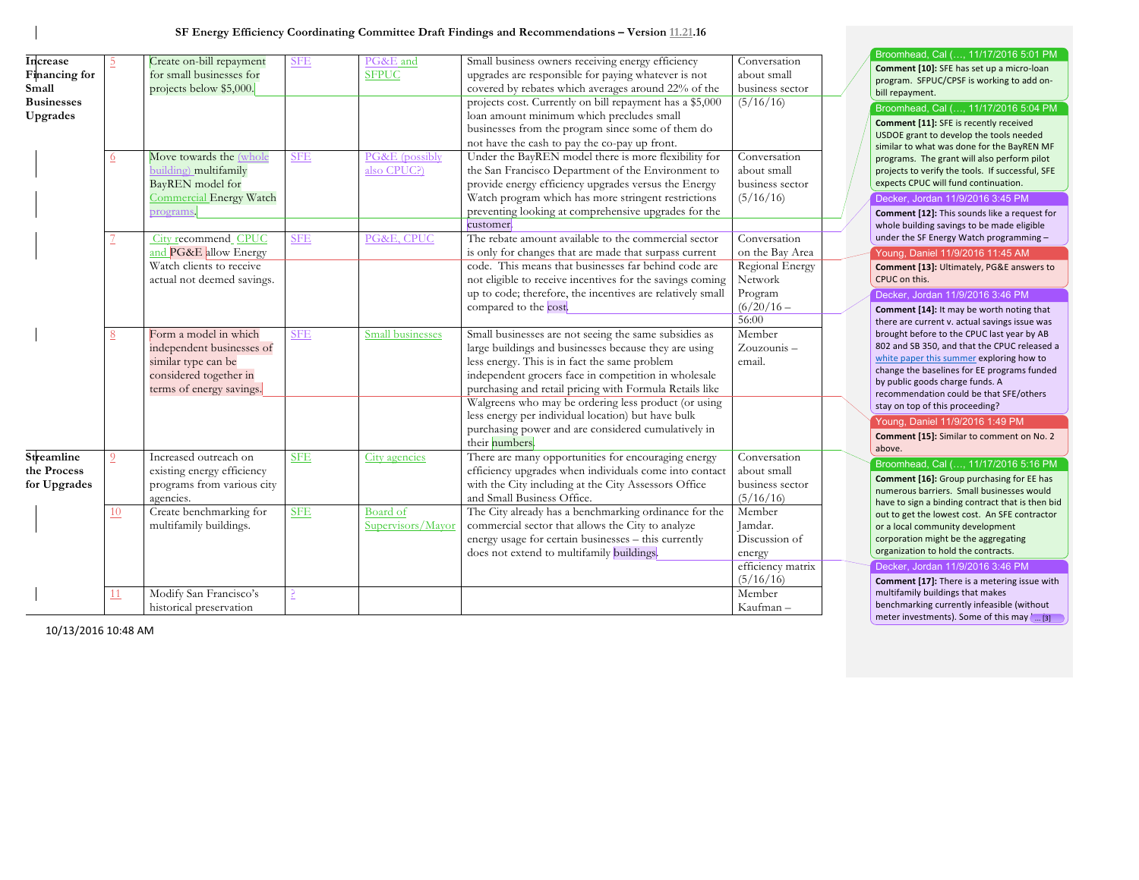| <b>Increase</b><br>Financing for<br>Small<br><b>Businesses</b> |                        | Create on-bill repayment<br>for small businesses for<br>projects below \$5,000.                                                                             | <b>SFE</b>               | PG&E and<br><b>SFPUC</b>                    | Small business owners receiving energy efficiency<br>upgrades are responsible for paying whatever is not<br>covered by rebates which averages around 22% of the<br>projects cost. Currently on bill repayment has a \$5,000                                                                                                                                                                                                                                                                                                                                         | Conversation<br>about small<br>business sector<br>(5/16/16)                                    | Broomhead, Cal (, 11/17/2016 5:01 PM<br>Comment [10]: SFE has set up a micro-loan<br>program. SFPUC/CPSF is working to add on-<br>bill repayment.<br>Broomhead, Cal (, 11/17/2016 5:04 PM                                                                                                                                                                                                                                                               |
|----------------------------------------------------------------|------------------------|-------------------------------------------------------------------------------------------------------------------------------------------------------------|--------------------------|---------------------------------------------|---------------------------------------------------------------------------------------------------------------------------------------------------------------------------------------------------------------------------------------------------------------------------------------------------------------------------------------------------------------------------------------------------------------------------------------------------------------------------------------------------------------------------------------------------------------------|------------------------------------------------------------------------------------------------|---------------------------------------------------------------------------------------------------------------------------------------------------------------------------------------------------------------------------------------------------------------------------------------------------------------------------------------------------------------------------------------------------------------------------------------------------------|
| Upgrades                                                       | $6 \overline{6}$<br>7. | Move towards the (whole<br>building) multifamily<br>BayREN model for<br>Commercial Energy Watch<br>programs<br>City recommend CPUC<br>and PG&E allow Energy | <b>SFE</b><br><b>SFE</b> | PG&E (possibly<br>also CPUC?)<br>PG&E, CPUC | loan amount minimum which precludes small<br>businesses from the program since some of them do<br>not have the cash to pay the co-pay up front.<br>Under the BayREN model there is more flexibility for<br>the San Francisco Department of the Environment to<br>provide energy efficiency upgrades versus the Energy<br>Watch program which has more stringent restrictions<br>preventing looking at comprehensive upgrades for the<br>customer.<br>The rebate amount available to the commercial sector<br>is only for changes that are made that surpass current | Conversation<br>about small<br>business sector<br>(5/16/16)<br>Conversation<br>on the Bay Area | Comment [11]: SFE is recently received<br>USDOE grant to develop the tools needed<br>similar to what was done for the BayREN MF<br>programs. The grant will also perform pilot<br>projects to verify the tools. If successful, SFE<br>expects CPUC will fund continuation.<br>Decker, Jordan 11/9/2016 3:45 PM<br>Comment [12]: This sounds like a request for<br>whole building savings to be made eligible<br>under the SF Energy Watch programming - |
|                                                                |                        | Watch clients to receive<br>actual not deemed savings.                                                                                                      |                          |                                             | code. This means that businesses far behind code are<br>not eligible to receive incentives for the savings coming<br>up to code; therefore, the incentives are relatively small<br>compared to the cost.                                                                                                                                                                                                                                                                                                                                                            | Regional Energy<br>Network<br>Program<br>$(6/20/16 -$<br>56:00                                 | Young, Daniel 11/9/2016 11:45 AM<br>Comment [13]: Ultimately, PG&E answers to<br>CPUC on this.<br>Decker, Jordan 11/9/2016 3:46 PM<br>Comment [14]: It may be worth noting that<br>there are current v. actual savings issue was                                                                                                                                                                                                                        |
|                                                                | 8                      | Form a model in which<br>independent businesses of<br>similar type can be<br>considered together in<br>terms of energy savings.                             | <b>SFE</b>               | Small businesses                            | Small businesses are not seeing the same subsidies as<br>large buildings and businesses because they are using<br>less energy. This is in fact the same problem<br>independent grocers face in competition in wholesale<br>purchasing and retail pricing with Formula Retails like<br>Walgreens who may be ordering less product (or using<br>less energy per individual location) but have bulk<br>purchasing power and are considered cumulatively in<br>their numbers                                                                                            | Member<br>Zouzounis-<br>email.                                                                 | brought before to the CPUC last year by AB<br>802 and SB 350, and that the CPUC released a<br>white paper this summer exploring how to<br>change the baselines for EE programs funded<br>by public goods charge funds. A<br>recommendation could be that SFE/others<br>stay on top of this proceeding?<br>Young, Daniel 11/9/2016 1:49 PM<br>Comment [15]: Similar to comment on No. 2                                                                  |
| Streamline<br>the Process<br>for Upgrades                      | 9                      | Increased outreach on<br>existing energy efficiency<br>programs from various city<br>agencies.                                                              | <b>SFE</b>               | City agencies                               | There are many opportunities for encouraging energy<br>efficiency upgrades when individuals come into contact<br>with the City including at the City Assessors Office<br>and Small Business Office.                                                                                                                                                                                                                                                                                                                                                                 | Conversation<br>about small<br>business sector<br>(5/16/16)                                    | above.<br>Broomhead, Cal (, 11/17/2016 5:16 PM<br>Comment [16]: Group purchasing for EE has<br>numerous barriers. Small businesses would<br>have to sign a binding contract that is then bid                                                                                                                                                                                                                                                            |
|                                                                | 10                     | Create benchmarking for<br>multifamily buildings.                                                                                                           | <b>SFE</b>               | Board of<br>Supervisors/Mayor               | The City already has a benchmarking ordinance for the<br>commercial sector that allows the City to analyze<br>energy usage for certain businesses - this currently<br>does not extend to multifamily buildings.                                                                                                                                                                                                                                                                                                                                                     | Member<br>Jamdar.<br>Discussion of<br>energy                                                   | out to get the lowest cost. An SFE contractor<br>or a local community development<br>corporation might be the aggregating<br>organization to hold the contracts.                                                                                                                                                                                                                                                                                        |
|                                                                | 11                     | Modify San Francisco's<br>historical preservation                                                                                                           |                          |                                             |                                                                                                                                                                                                                                                                                                                                                                                                                                                                                                                                                                     | efficiency matrix<br>(5/16/16)<br>Member<br>Kaufman-                                           | Decker, Jordan 11/9/2016 3:46 PM<br>Comment [17]: There is a metering issue with<br>multifamily buildings that makes<br>benchmarking currently infeasible (without<br>meter investments). Some of this may [ [3]                                                                                                                                                                                                                                        |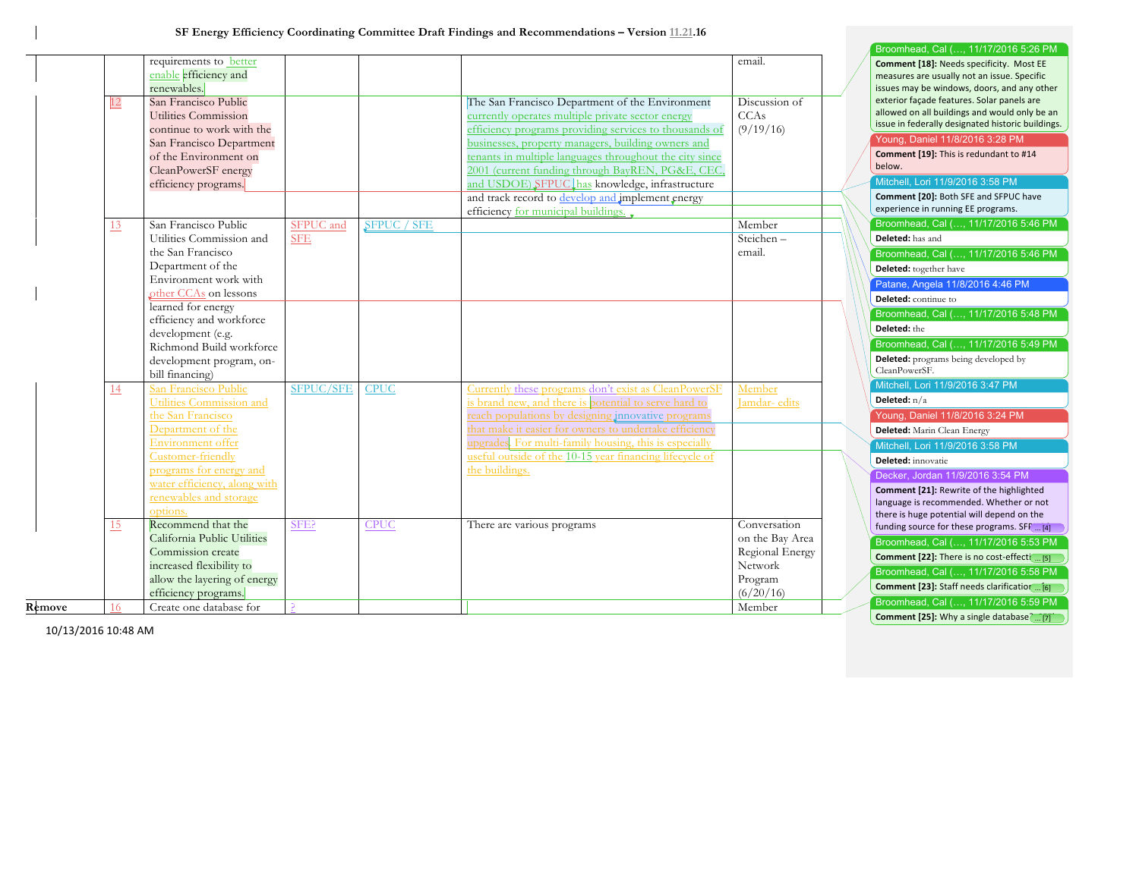|        |    |                                                         |            |             |                                                                                                             |                 | Broomhead, Cal (, 11/17/2016 5:26 PM                                                      |
|--------|----|---------------------------------------------------------|------------|-------------|-------------------------------------------------------------------------------------------------------------|-----------------|-------------------------------------------------------------------------------------------|
|        |    | requirements to <b>better</b>                           |            |             |                                                                                                             | email.          | Comment [18]: Needs specificity. Most EE                                                  |
|        |    | enable efficiency and                                   |            |             |                                                                                                             |                 | measures are usually not an issue. Specific                                               |
|        |    | renewables.                                             |            |             |                                                                                                             |                 | issues may be windows, doors, and any other<br>exterior façade features. Solar panels are |
|        | 12 | San Francisco Public                                    |            |             | The San Francisco Department of the Environment                                                             | Discussion of   | allowed on all buildings and would only be an                                             |
|        |    | Utilities Commission                                    |            |             | currently operates multiple private sector energy                                                           | CCAs            | issue in federally designated historic buildings.                                         |
|        |    | continue to work with the                               |            |             | efficiency programs providing services to thousands of                                                      | (9/19/16)       | Young, Daniel 11/8/2016 3:28 PM                                                           |
|        |    | San Francisco Department<br>of the Environment on       |            |             | businesses, property managers, building owners and                                                          |                 | Comment [19]: This is redundant to #14                                                    |
|        |    | CleanPowerSF energy                                     |            |             | tenants in multiple languages throughout the city since<br>2001 (current funding through BayREN, PG&E, CEC, |                 | below.                                                                                    |
|        |    | efficiency programs.                                    |            |             | and USDOE) SFPUC has knowledge, infrastructure                                                              |                 | Mitchell, Lori 11/9/2016 3:58 PM                                                          |
|        |    |                                                         |            |             | and track record to develop and implement energy                                                            |                 | Comment [20]: Both SFE and SFPUC have                                                     |
|        |    |                                                         |            |             | efficiency for municipal buildings.                                                                         |                 | experience in running EE programs.                                                        |
|        | 13 | San Francisco Public                                    | SFPUC and  | SFPUC / SFE |                                                                                                             | Member          | Broomhead, Cal (, 11/17/2016 5:46 PM                                                      |
|        |    | Utilities Commission and                                | <b>SFE</b> |             |                                                                                                             | Steichen-       | Deleted: has and                                                                          |
|        |    | the San Francisco                                       |            |             |                                                                                                             | email.          | Broomhead, Cal (, 11/17/2016 5:46 PM                                                      |
|        |    | Department of the                                       |            |             |                                                                                                             |                 | Deleted: together have                                                                    |
|        |    | Environment work with                                   |            |             |                                                                                                             |                 | Patane, Angela 11/8/2016 4:46 PM                                                          |
|        |    | other CCAs on lessons                                   |            |             |                                                                                                             |                 | Deleted: continue to                                                                      |
|        |    | learned for energy                                      |            |             |                                                                                                             |                 |                                                                                           |
|        |    | efficiency and workforce                                |            |             |                                                                                                             |                 | Broomhead, Cal (, 11/17/2016 5:48 PM                                                      |
|        |    | development (e.g.                                       |            |             |                                                                                                             |                 | Deleted: the                                                                              |
|        |    | Richmond Build workforce                                |            |             |                                                                                                             |                 | Broomhead, Cal (, 11/17/2016 5:49 PM                                                      |
|        |    | development program, on-                                |            |             |                                                                                                             |                 | <b>Deleted:</b> programs being developed by<br>CleanPowerSF.                              |
|        |    | bill financing)                                         |            |             |                                                                                                             |                 |                                                                                           |
|        | 14 | San Francisco Public                                    | SFPUC/SFE  | <b>CPUC</b> | Currently these programs don't exist as CleanPowerSF                                                        | Member          | Mitchell, Lori 11/9/2016 3:47 PM                                                          |
|        |    | Utilities Commission and                                |            |             | is brand new, and there is potential to serve hard to                                                       | Jamdar- edits   | Deleted: $n/a$                                                                            |
|        |    | the San Francisco                                       |            |             | reach populations by designing innovative programs                                                          |                 | Young, Daniel 11/8/2016 3:24 PM                                                           |
|        |    | Department of the                                       |            |             | that make it easier for owners to undertake efficiency                                                      |                 | Deleted: Marin Clean Energy                                                               |
|        |    | Environment offer                                       |            |             | upgrades. For multi-family housing, this is especially                                                      |                 | Mitchell, Lori 11/9/2016 3:58 PM                                                          |
|        |    | Customer-friendly                                       |            |             | useful outside of the 10-15 year financing lifecycle of                                                     |                 | Deleted: innovatie                                                                        |
|        |    | programs for energy and<br>water efficiency, along with |            |             | the buildings.                                                                                              |                 | Decker, Jordan 11/9/2016 3:54 PM                                                          |
|        |    | renewables and storage                                  |            |             |                                                                                                             |                 | Comment [21]: Rewrite of the highlighted                                                  |
|        |    | options.                                                |            |             |                                                                                                             |                 | language is recommended. Whether or not                                                   |
|        |    | Recommend that the                                      | SFE?       | <b>CPUC</b> |                                                                                                             | Conversation    | there is huge potential will depend on the                                                |
|        | 15 | California Public Utilities                             |            |             | There are various programs                                                                                  | on the Bay Area | funding source for these programs. SFF[4]                                                 |
|        |    | Commission create                                       |            |             |                                                                                                             | Regional Energy | Broomhead, Cal (, 11/17/2016 5:53 PM                                                      |
|        |    | increased flexibility to                                |            |             |                                                                                                             | Network         | Comment [22]: There is no cost-effecti  [5]                                               |
|        |    | allow the layering of energy                            |            |             |                                                                                                             | Program         | Broomhead, Cal (, 11/17/2016 5:58 PM                                                      |
|        |    | efficiency programs.                                    |            |             |                                                                                                             | (6/20/16)       | Comment [23]: Staff needs clarification  [6]                                              |
| Remove | 16 | Create one database for                                 |            |             |                                                                                                             | Member          | Broomhead, Cal (, 11/17/2016 5:59 PM                                                      |
|        |    |                                                         |            |             |                                                                                                             |                 | Comment [25]: Why a single database [ [7]                                                 |